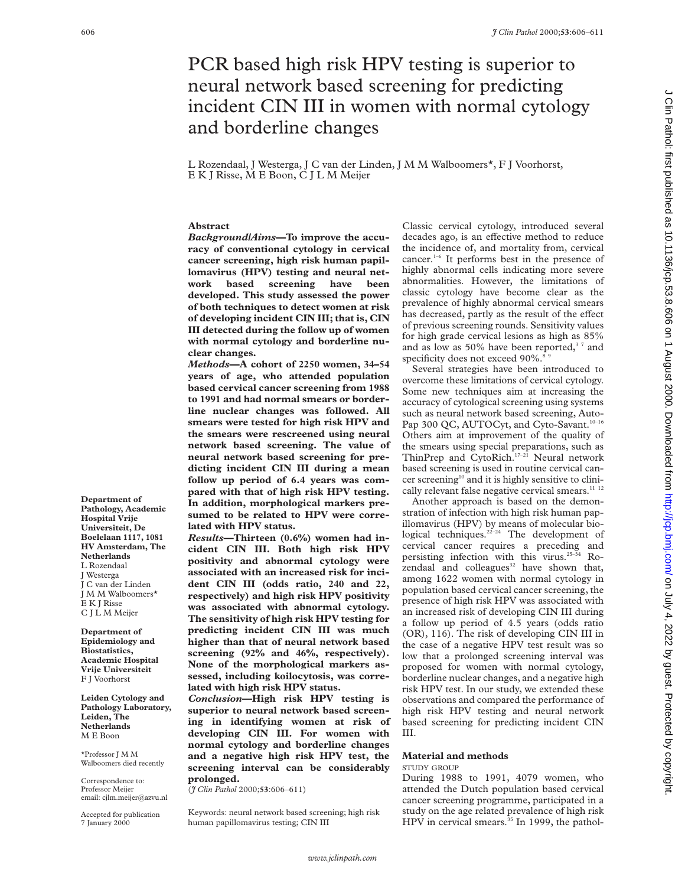# PCR based high risk HPV testing is superior to neural network based screening for predicting incident CIN III in women with normal cytology and borderline changes

L Rozendaal, J Westerga, J C van der Linden, JMMWalboomers\*, F J Voorhorst, E K J Risse, M E Boon, CJLM Meijer

# **Abstract**

*Background/Aims***—To improve the accuracy of conventional cytology in cervical cancer screening, high risk human papillomavirus (HPV) testing and neural network based screening have been developed. This study assessed the power of both techniques to detect women at risk of developing incident CIN III; that is, CIN III detected during the follow up of women with normal cytology and borderline nuclear changes.**

*Methods***—A cohort of 2250 women, 34–54 years of age, who attended population based cervical cancer screening from 1988 to 1991 and had normal smears or borderline nuclear changes was followed. All smears were tested for high risk HPV and the smears were rescreened using neural network based screening. The value of neural network based screening for predicting incident CIN III during a mean follow up period of 6.4 years was compared with that of high risk HPV testing. In addition, morphological markers presumed to be related to HPV were correlated with HPV status.**

*Results***—Thirteen (0.6%) women had incident CIN III. Both high risk HPV positivity and abnormal cytology were associated with an increased risk for incident CIN III (odds ratio, 240 and 22, respectively) and high risk HPV positivity was associated with abnormal cytology. The sensitivity of high risk HPV testing for predicting incident CIN III was much higher than that of neural network based screening (92% and 46%, respectively). None of the morphological markers assessed, including koilocytosis, was correlated with high risk HPV status.**

*Conclusion***—High risk HPV testing is superior to neural network based screening in identifying women at risk of developing CIN III. For women with normal cytology and borderline changes and a negative high risk HPV test, the screening interval can be considerably prolonged.**

(*J Clin Pathol* 2000;**53**:606–611)

Keywords: neural network based screening; high risk human papillomavirus testing; CIN III

Classic cervical cytology, introduced several decades ago, is an effective method to reduce the incidence of, and mortality from, cervical cancer.1–6 It performs best in the presence of highly abnormal cells indicating more severe abnormalities. However, the limitations of classic cytology have become clear as the prevalence of highly abnormal cervical smears has decreased, partly as the result of the effect of previous screening rounds. Sensitivity values for high grade cervical lesions as high as 85% and as low as 50% have been reported, $37$  and specificity does not exceed 90%.<sup>89</sup>

Several strategies have been introduced to overcome these limitations of cervical cytology. Some new techniques aim at increasing the accuracy of cytological screening using systems such as neural network based screening, Auto-Pap 300 QC, AUTOCyt, and Cyto-Savant.<sup>10-16</sup> Others aim at improvement of the quality of the smears using special preparations, such as ThinPrep and CytoRich.<sup>17-21</sup> Neural network based screening is used in routine cervical cancer screening<sup>10</sup> and it is highly sensitive to clinically relevant false negative cervical smears.<sup>11 12</sup>

Another approach is based on the demonstration of infection with high risk human papillomavirus (HPV) by means of molecular biological techniques. $2^{2-24}$  The development of cervical cancer requires a preceding and persisting infection with this virus.<sup>25-34</sup> Rozendaal and colleagues<sup>32</sup> have shown that, among 1622 women with normal cytology in population based cervical cancer screening, the presence of high risk HPV was associated with an increased risk of developing CIN III during a follow up period of 4.5 years (odds ratio (OR), 116). The risk of developing CIN III in the case of a negative HPV test result was so low that a prolonged screening interval was proposed for women with normal cytology, borderline nuclear changes, and a negative high risk HPV test. In our study, we extended these observations and compared the performance of high risk HPV testing and neural network based screening for predicting incident CIN III.

# **Material and methods**

# STUDY GROUP

During 1988 to 1991, 4079 women, who attended the Dutch population based cervical cancer screening programme, participated in a study on the age related prevalence of high risk HPV in cervical smears.<sup>35</sup> In 1999, the pathol-

on July 4, 2022 by guest Protected by Guest basing by the first published from the first published from the clin Pathol: first published as 10.11367. Published as 10.11367. Disp. 2020 on 1 August 2000. Downloaded from http Clin Pathol: first published as 10.1136/jcp.53.8.606 on 1 August 2000. Downloaded from http://jcp.bm/ on July 4, 2022 by guest. Protected by copyright

# Walboomers died recently

Correspondence to: Professor Meijer email: cjlm.meijer@azvu.nl

 $\star$  Professor J M M

**Leiden Cytology and Pathology Laboratory, Leiden, The Netherlands** M E Boon

**Department of Pathology, Academic Hospital Vrije Universiteit, De Boelelaan 1117, 1081 HV Amsterdam, The Netherlands** L Rozendaal J Westerga J C van der Linden JMMWalboomers\* E K J Risse CJLM Meijer **Department of Epidemiology and Biostatistics, Academic Hospital Vrije Universiteit** F J Voorhorst

Accepted for publication 7 January 2000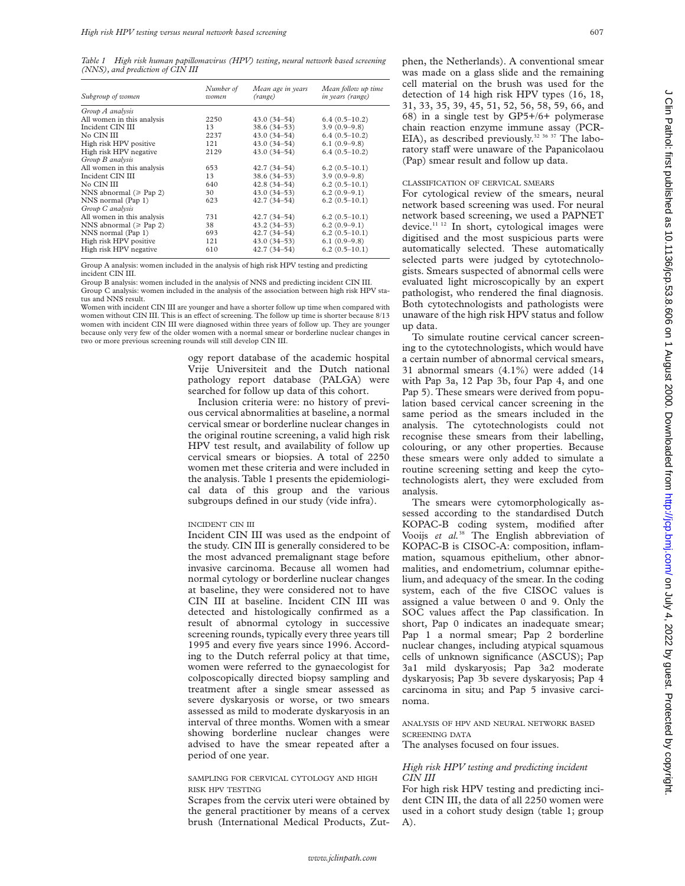*Table 1 High risk human papillomavirus (HPV) testing, neural network based screening (NNS), and prediction of CIN III*

| Subgroup of women            | Number of<br>women | Mean age in years<br>(range) | Mean follow up time<br>in years (range) |
|------------------------------|--------------------|------------------------------|-----------------------------------------|
| Group A analysis             |                    |                              |                                         |
| All women in this analysis   | 2250               | $43.0(34 - 54)$              | $6.4(0.5-10.2)$                         |
| Incident CIN III             | 13                 | $38.6(34-53)$                | $3.9(0.9-9.8)$                          |
| No CIN III                   | 2237               | $43.0(34 - 54)$              | $6.4(0.5-10.2)$                         |
| High risk HPV positive       | 121                | $43.0(34 - 54)$              | $6.1(0.9-9.8)$                          |
| High risk HPV negative       | 2129               | $43.0(34 - 54)$              | $6.4(0.5-10.2)$                         |
| Group B analysis             |                    |                              |                                         |
| All women in this analysis   | 653                | $42.7(34 - 54)$              | $6.2(0.5-10.1)$                         |
| Incident CIN III             | 13                 | 38.6 (34–53)                 | $3.9(0.9-9.8)$                          |
| No CIN III                   | 640                | $42.8(34 - 54)$              | $6.2(0.5-10.1)$                         |
| NNS abnormal ( $\geq$ Pap 2) | 30                 | $43.0(34-53)$                | $6.2(0.9-9.1)$                          |
| NNS normal (Pap 1)           | 623                | $42.7(34 - 54)$              | $6.2(0.5-10.1)$                         |
| Group C analysis             |                    |                              |                                         |
| All women in this analysis   | 731                | $42.7(34 - 54)$              | $6.2(0.5-10.1)$                         |
| NNS abnormal ( $\geq$ Pap 2) | 38                 | $43.2(34 - 53)$              | $6.2(0.9-9.1)$                          |
| NNS normal (Pap 1)           | 693                | $42.7(34 - 54)$              | $6.2(0.5-10.1)$                         |
| High risk HPV positive       | 121                | $43.0(34-53)$                | $6.1(0.9-9.8)$                          |
| High risk HPV negative       | 610                | $42.7(34 - 54)$              | $6.2(0.5-10.1)$                         |

Group A analysis: women included in the analysis of high risk HPV testing and predicting incident CIN III.

Group B analysis: women included in the analysis of NNS and predicting incident CIN III. Group C analysis: women included in the analysis of the association between high risk HPV status and NNS result.

Women with incident CIN III are younger and have a shorter follow up time when compared with women without CIN III. This is an effect of screening. The follow up time is shorter because 8/13 women with incident CIN III were diagnosed within three years of follow up. They are younger because only very few of the older women with a normal smear or borderline nuclear changes in two or more previous screening rounds will still develop CIN III.

> ogy report database of the academic hospital Vrije Universiteit and the Dutch national pathology report database (PALGA) were searched for follow up data of this cohort.

> Inclusion criteria were: no history of previous cervical abnormalities at baseline, a normal cervical smear or borderline nuclear changes in the original routine screening, a valid high risk HPV test result, and availability of follow up cervical smears or biopsies. A total of 2250 women met these criteria and were included in the analysis. Table 1 presents the epidemiological data of this group and the various subgroups defined in our study (vide infra).

# INCIDENT CIN III

Incident CIN III was used as the endpoint of the study. CIN III is generally considered to be the most advanced premalignant stage before invasive carcinoma. Because all women had normal cytology or borderline nuclear changes at baseline, they were considered not to have CIN III at baseline. Incident CIN III was detected and histologically confirmed as a result of abnormal cytology in successive screening rounds, typically every three years till 1995 and every five years since 1996. According to the Dutch referral policy at that time, women were referred to the gynaecologist for colposcopically directed biopsy sampling and treatment after a single smear assessed as severe dyskaryosis or worse, or two smears assessed as mild to moderate dyskaryosis in an interval of three months. Women with a smear showing borderline nuclear changes were advised to have the smear repeated after a period of one year.

#### SAMPLING FOR CERVICAL CYTOLOGY AND HIGH RISK HPV TESTING

Scrapes from the cervix uteri were obtained by the general practitioner by means of a cervex brush (International Medical Products, Zut-

phen, the Netherlands). A conventional smear was made on a glass slide and the remaining cell material on the brush was used for the detection of 14 high risk HPV types (16, 18, 31, 33, 35, 39, 45, 51, 52, 56, 58, 59, 66, and 68) in a single test by GP5+/6+ polymerase chain reaction enzyme immune assay (PCR-EIA), as described previously.<sup>32 36 37</sup> The laboratory staff were unaware of the Papanicolaou (Pap) smear result and follow up data.

## CLASSIFICATION OF CERVICAL SMEARS

For cytological review of the smears, neural network based screening was used. For neural network based screening, we used a PAPNET device.11 12 In short, cytological images were digitised and the most suspicious parts were automatically selected. These automatically selected parts were judged by cytotechnologists. Smears suspected of abnormal cells were evaluated light microscopically by an expert pathologist, who rendered the final diagnosis. Both cytotechnologists and pathologists were unaware of the high risk HPV status and follow up data.

To simulate routine cervical cancer screening to the cytotechnologists, which would have a certain number of abnormal cervical smears, 31 abnormal smears (4.1%) were added (14 with Pap 3a, 12 Pap 3b, four Pap 4, and one Pap 5). These smears were derived from population based cervical cancer screening in the same period as the smears included in the analysis. The cytotechnologists could not recognise these smears from their labelling, colouring, or any other properties. Because these smears were only added to simulate a routine screening setting and keep the cytotechnologists alert, they were excluded from analysis.

The smears were cytomorphologically assessed according to the standardised Dutch KOPAC-B coding system, modified after Vooijs *et al.*<sup>38</sup> The English abbreviation of KOPAC-B is CISOC-A: composition, inflammation, squamous epithelium, other abnormalities, and endometrium, columnar epithelium, and adequacy of the smear. In the coding system, each of the five CISOC values is assigned a value between 0 and 9. Only the SOC values affect the Pap classification. In short, Pap 0 indicates an inadequate smear; Pap 1 a normal smear; Pap 2 borderline nuclear changes, including atypical squamous cells of unknown significance (ASCUS); Pap 3a1 mild dyskaryosis; Pap 3a2 moderate dyskaryosis; Pap 3b severe dyskaryosis; Pap 4 carcinoma in situ; and Pap 5 invasive carcinoma.

ANALYSIS OF HPV AND NEURAL NETWORK BASED SCREENING DATA

The analyses focused on four issues.

# *High risk HPV testing and predicting incident CIN III*

For high risk HPV testing and predicting incident CIN III, the data of all 2250 women were used in a cohort study design (table 1; group A).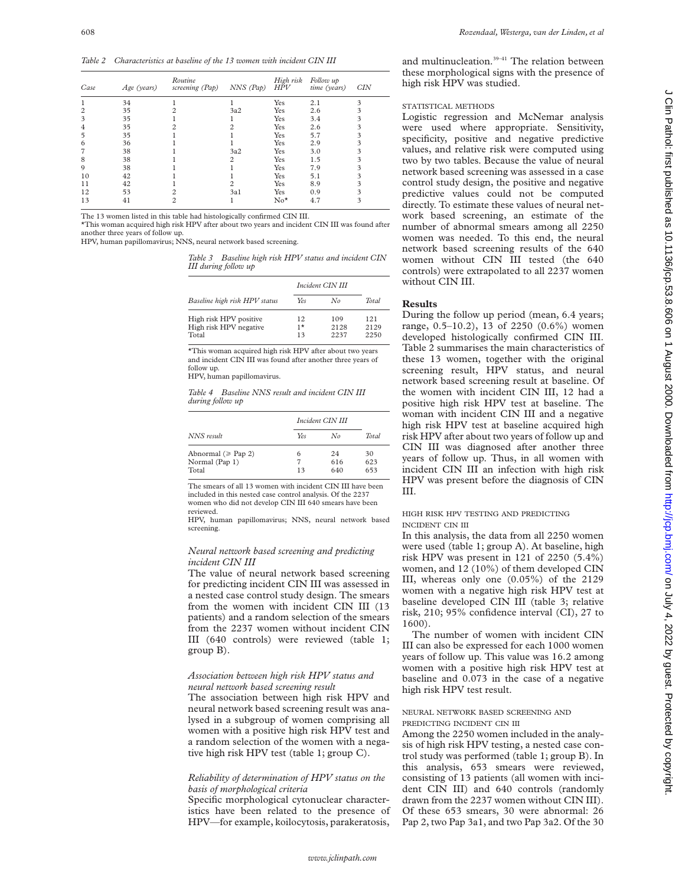*Table 2 Characteristics at baseline of the 13 women with incident CIN III*

| Case           | Age (years) | Routine<br>screening (Pap) | NNS (Pap) | High risk<br><b>HPV</b> | Follow up<br>time (years) | CIN |
|----------------|-------------|----------------------------|-----------|-------------------------|---------------------------|-----|
|                | 34          |                            |           | Yes                     | 2.1                       |     |
| $\overline{c}$ | 35          |                            | 3a2       | Yes                     | 2.6                       |     |
| 3              | 35          |                            |           | Yes                     | 3.4                       |     |
| $\overline{4}$ | 35          |                            |           | Yes                     | 2.6                       |     |
| 5              | 35          |                            |           | Yes                     | 5.7                       |     |
| 6              | 36          |                            |           | Yes                     | 2.9                       |     |
| 7              | 38          |                            | 3a2       | Yes                     | 3.0                       |     |
| 8              | 38          |                            | 2         | Yes                     | 1.5                       |     |
| 9              | 38          |                            |           | Yes                     | 7.9                       |     |
| 10             | 42          |                            |           | Yes                     | 5.1                       |     |
| 11             | 42          |                            |           | Yes                     | 8.9                       |     |
| 12             | 53          |                            | 3a1       | Yes                     | 0.9                       | 3   |
| 13             | 41          | 2.                         |           | $\mathrm{No}^{\star}$   | 4.7                       | 3   |

The 13 women listed in this table had histologically confirmed CIN III.

\*This woman acquired high risk HPV after about two years and incident CIN III was found after another three years of follow up.

HPV, human papillomavirus; NNS, neural network based screening.

*Table 3 Baseline high risk HPV status and incident CIN III during follow up*

|                               | Incident CIN III |      |              |
|-------------------------------|------------------|------|--------------|
| Baseline high risk HPV status | Yes              | No   | <b>Total</b> |
| High risk HPV positive        | 12               | 109  | 121          |
| High risk HPV negative        | $1*$             | 2128 | 2129         |
| Total                         | 13               | 2237 | 2250         |

\*This woman acquired high risk HPV after about two years and incident CIN III was found after another three years of follow up.

HPV, human papillomavirus.

*Table 4 Baseline NNS result and incident CIN III during follow up*

|                          | Incident CIN III |     |              |
|--------------------------|------------------|-----|--------------|
| NNS result               | Yes              | No  | <b>Total</b> |
| Abnormal ( $\geq$ Pap 2) | 6                | 24  | 30           |
| Normal (Pap 1)           |                  | 616 | 623          |
| Total                    |                  | 640 | 653          |

The smears of all 13 women with incident CIN III have been included in this nested case control analysis. Of the 2237 women who did not develop CIN III 640 smears have been reviewed.

HPV, human papillomavirus; NNS, neural network based screening.

# *Neural network based screening and predicting incident CIN III*

The value of neural network based screening for predicting incident CIN III was assessed in a nested case control study design. The smears from the women with incident CIN III (13 patients) and a random selection of the smears from the 2237 women without incident CIN III (640 controls) were reviewed (table 1; group B).

# *Association between high risk HPV status and neural network based screening result*

The association between high risk HPV and neural network based screening result was analysed in a subgroup of women comprising all women with a positive high risk HPV test and a random selection of the women with a negative high risk HPV test (table 1; group C).

#### *Reliability of determination of HPV status on the basis of morphological criteria*

Specific morphological cytonuclear characteristics have been related to the presence of HPV—for example, koilocytosis, parakeratosis, and multinucleation.<sup>39-41</sup> The relation between these morphological signs with the presence of high risk HPV was studied.

# STATISTICAL METHODS

Logistic regression and McNemar analysis were used where appropriate. Sensitivity, specificity, positive and negative predictive values, and relative risk were computed using two by two tables. Because the value of neural network based screening was assessed in a case control study design, the positive and negative predictive values could not be computed directly. To estimate these values of neural network based screening, an estimate of the number of abnormal smears among all 2250 women was needed. To this end, the neural network based screening results of the 640 women without CIN III tested (the 640 controls) were extrapolated to all 2237 women without CIN III.

#### **Results**

During the follow up period (mean, 6.4 years; range, 0.5–10.2), 13 of 2250 (0.6%) women developed histologically confirmed CIN III. Table 2 summarises the main characteristics of these 13 women, together with the original screening result, HPV status, and neural network based screening result at baseline. Of the women with incident CIN III, 12 had a positive high risk HPV test at baseline. The woman with incident CIN III and a negative high risk HPV test at baseline acquired high risk HPV after about two years of follow up and CIN III was diagnosed after another three years of follow up. Thus, in all women with incident CIN III an infection with high risk HPV was present before the diagnosis of CIN III.

#### HIGH RISK HPV TESTING AND PREDICTING INCIDENT CIN III

In this analysis, the data from all 2250 women were used (table 1; group A). At baseline, high risk HPV was present in 121 of 2250 (5.4%) women, and 12 (10%) of them developed CIN III, whereas only one (0.05%) of the 2129 women with a negative high risk HPV test at baseline developed CIN III (table 3; relative risk, 210; 95% confidence interval (CI), 27 to 1600).

The number of women with incident CIN III can also be expressed for each 1000 women years of follow up. This value was 16.2 among women with a positive high risk HPV test at baseline and 0.073 in the case of a negative high risk HPV test result.

# NEURAL NETWORK BASED SCREENING AND PREDICTING INCIDENT CIN III

Among the 2250 women included in the analysis of high risk HPV testing, a nested case control study was performed (table 1; group B). In this analysis, 653 smears were reviewed, consisting of 13 patients (all women with incident CIN III) and 640 controls (randomly drawn from the 2237 women without CIN III). Of these 653 smears, 30 were abnormal: 26 Pap 2, two Pap 3a1, and two Pap 3a2. Of the 30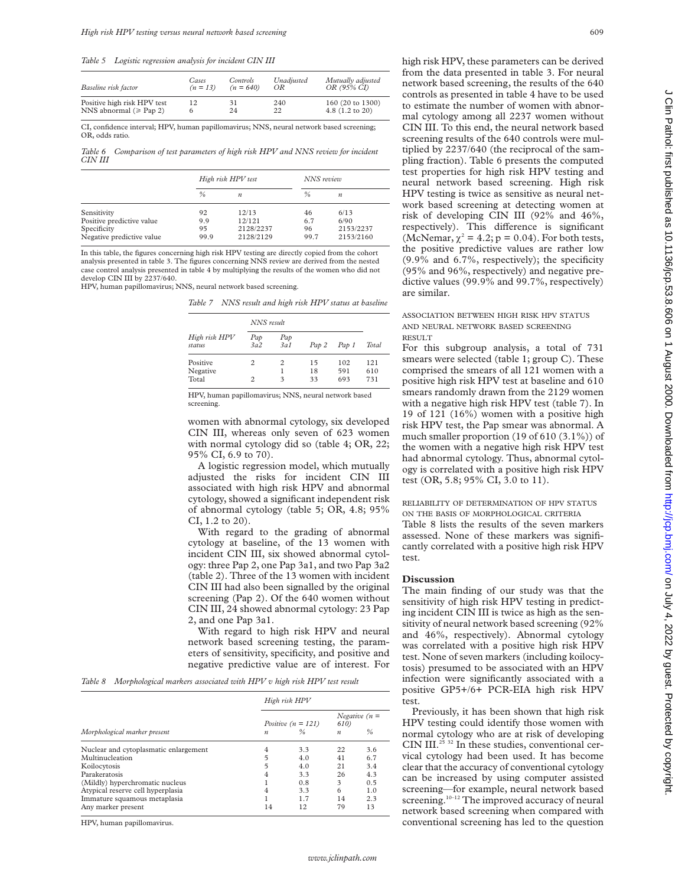*Table 5 Logistic regression analysis for incident CIN III*

| Baseline risk factor         | Cases      | <i>Controls</i> | Unadjusted | Mutually adjusted |
|------------------------------|------------|-----------------|------------|-------------------|
|                              | $(n = 13)$ | $(n = 640)$     | OR         | OR (95% CI)       |
| Positive high risk HPV test  | 12         | 31              | 240        | 160 (20 to 1300)  |
| NNS abnormal ( $\geq$ Pap 2) |            | 24              | 22         | 4.8 (1.2 to 20)   |

CI, confidence interval; HPV, human papillomavirus; NNS, neural network based screening; OR, odds ratio

*Table 6 Comparison of test parameters of high risk HPV and NNS review for incident CIN III*

|                           | High risk HPV test |           | NNS review    |           |
|---------------------------|--------------------|-----------|---------------|-----------|
|                           | %                  | n         | $\frac{9}{6}$ | n         |
| Sensitivity               | 92                 | 12/13     | 46            | 6/13      |
| Positive predictive value | 9.9                | 12/121    | 6.7           | 6/90      |
| Specificity               | 95                 | 2128/2237 | 96            | 2153/2237 |
| Negative predictive value | 99.9               | 2128/2129 | 99.7          | 2153/2160 |

In this table, the figures concerning high risk HPV testing are directly copied from the cohort analysis presented in table 3. The figures concerning NNS review are derived from the nested case control analysis presented in table 4 by multiplying the results of the women who did not develop CIN III by 2237/640.

HPV, human papillomavirus; NNS, neural network based screening.

*Table 7 NNS result and high risk HPV status at baseline*

|                         | NNS result |                    |      |      |       |
|-------------------------|------------|--------------------|------|------|-------|
| High risk HPV<br>status | Pap<br>3a2 | Pap<br>3a1         | Pap2 | Pap1 | Total |
| Positive                | 2          | 2                  | 15   | 102  | 121   |
| Negative                |            |                    | 18   | 591  | 610   |
| Total                   | 2          | $\mathbf{\hat{z}}$ | 33   | 693  | 731   |

HPV, human papillomavirus; NNS, neural network based screening.

women with abnormal cytology, six developed CIN III, whereas only seven of 623 women with normal cytology did so (table 4; OR, 22; 95% CI, 6.9 to 70).

A logistic regression model, which mutually adjusted the risks for incident CIN III associated with high risk HPV and abnormal cytology, showed a significant independent risk of abnormal cytology (table 5; OR, 4.8; 95% CI, 1.2 to 20).

With regard to the grading of abnormal cytology at baseline, of the 13 women with incident CIN III, six showed abnormal cytology: three Pap 2, one Pap 3a1, and two Pap 3a2 (table 2). Three of the 13 women with incident CIN III had also been signalled by the original screening (Pap 2). Of the 640 women without CIN III, 24 showed abnormal cytology: 23 Pap 2, and one Pap 3a1.

With regard to high risk HPV and neural network based screening testing, the parameters of sensitivity, specificity, and positive and negative predictive value are of interest. For

*Table 8 Morphological markers associated with HPV v high risk HPV test result*

|                                       | High risk HPV        |                         |                  |     |  |
|---------------------------------------|----------------------|-------------------------|------------------|-----|--|
|                                       | Positive $(n = 121)$ | Negative $(n =$<br>610) |                  |     |  |
| Morphological marker present          | $\boldsymbol{n}$     | $\%$                    | $\boldsymbol{n}$ | %   |  |
| Nuclear and cytoplasmatic enlargement | 4                    | 3.3                     | 22               | 3.6 |  |
| Multinucleation                       | 5                    | 4.0                     | 41               | 6.7 |  |
| Koilocytosis                          | $\overline{5}$       | 4.0                     | 21               | 3.4 |  |
| Parakeratosis                         | 4                    | 3.3                     | 26               | 4.3 |  |
| (Mildly) hyperchromatic nucleus       |                      | 0.8                     | 3                | 0.5 |  |
| Atypical reserve cell hyperplasia     | 4                    | 3.3                     | 6                | 1.0 |  |
| Immature squamous metaplasia          |                      | 1.7                     | 14               | 2.3 |  |
| Any marker present                    | 14                   | 12                      | 79               | 13  |  |

HPV, human papillomavirus.

high risk HPV, these parameters can be derived from the data presented in table 3. For neural network based screening, the results of the 640 controls as presented in table 4 have to be used to estimate the number of women with abnormal cytology among all 2237 women without CIN III. To this end, the neural network based screening results of the 640 controls were multiplied by 2237/640 (the reciprocal of the sampling fraction). Table 6 presents the computed test properties for high risk HPV testing and neural network based screening. High risk HPV testing is twice as sensitive as neural network based screening at detecting women at risk of developing CIN III (92% and 46%, respectively). This difference is significant (McNemar,  $\chi^2 = 4.2$ ; p = 0.04). For both tests, the positive predictive values are rather low (9.9% and 6.7%, respectively); the specificity (95% and 96%, respectively) and negative predictive values (99.9% and 99.7%, respectively)

ASSOCIATION BETWEEN HIGH RISK HPV STATUS AND NEURAL NETWORK BASED SCREENING RESULT

For this subgroup analysis, a total of 731 smears were selected (table 1; group C). These comprised the smears of all 121 women with a positive high risk HPV test at baseline and 610 smears randomly drawn from the 2129 women with a negative high risk HPV test (table 7). In 19 of 121 (16%) women with a positive high risk HPV test, the Pap smear was abnormal. A much smaller proportion (19 of 610 (3.1%)) of the women with a negative high risk HPV test had abnormal cytology. Thus, abnormal cytology is correlated with a positive high risk HPV test (OR, 5.8; 95% CI, 3.0 to 11).

RELIABILITY OF DETERMINATION OF HPV STATUS ON THE BASIS OF MORPHOLOGICAL CRITERIA Table 8 lists the results of the seven markers assessed. None of these markers was significantly correlated with a positive high risk HPV test.

# **Discussion**

are similar.

The main finding of our study was that the sensitivity of high risk HPV testing in predicting incident CIN III is twice as high as the sensitivity of neural network based screening (92% and 46%, respectively). Abnormal cytology was correlated with a positive high risk HPV test. None of seven markers (including koilocytosis) presumed to be associated with an HPV infection were significantly associated with a positive GP5+/6+ PCR-EIA high risk HPV test.

Previously, it has been shown that high risk HPV testing could identify those women with normal cytology who are at risk of developing CIN III.<sup>25 32</sup> In these studies, conventional cervical cytology had been used. It has become clear that the accuracy of conventional cytology can be increased by using computer assisted screening—for example, neural network based screening.<sup>10–12</sup> The improved accuracy of neural network based screening when compared with conventional screening has led to the question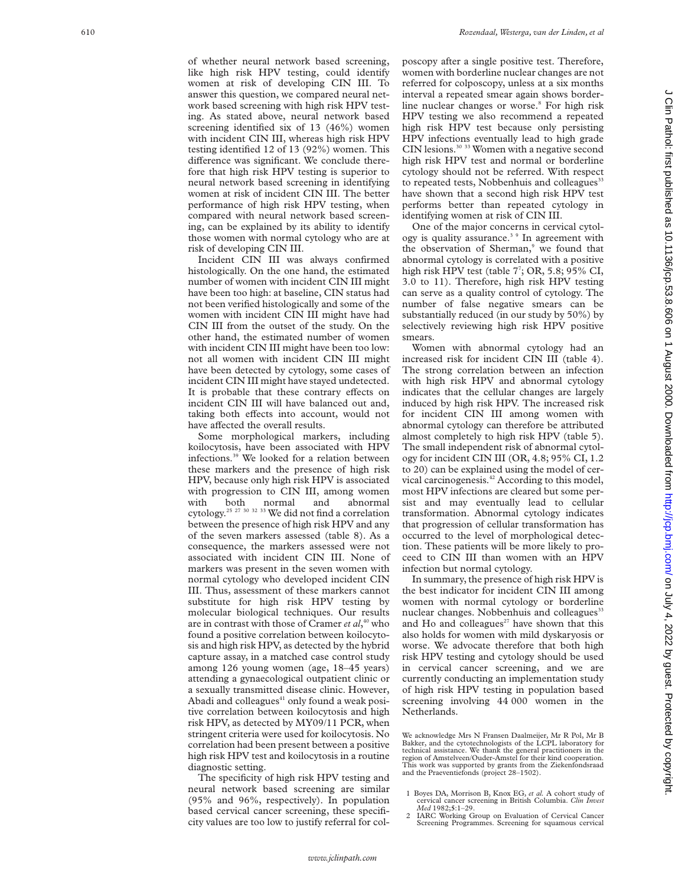of whether neural network based screening, like high risk HPV testing, could identify women at risk of developing CIN III. To answer this question, we compared neural network based screening with high risk HPV testing. As stated above, neural network based screening identified six of 13 (46%) women with incident CIN III, whereas high risk HPV testing identified 12 of 13 (92%) women. This difference was significant. We conclude therefore that high risk HPV testing is superior to neural network based screening in identifying women at risk of incident CIN III. The better performance of high risk HPV testing, when compared with neural network based screening, can be explained by its ability to identify those women with normal cytology who are at risk of developing CIN III.

Incident CIN III was always confirmed histologically. On the one hand, the estimated number of women with incident CIN III might have been too high: at baseline, CIN status had not been verified histologically and some of the women with incident CIN III might have had CIN III from the outset of the study. On the other hand, the estimated number of women with incident CIN III might have been too low: not all women with incident CIN III might have been detected by cytology, some cases of incident CIN III might have stayed undetected. It is probable that these contrary effects on incident CIN III will have balanced out and, taking both effects into account, would not have affected the overall results.

Some morphological markers, including koilocytosis, have been associated with HPV infections.39 We looked for a relation between these markers and the presence of high risk HPV, because only high risk HPV is associated with progression to CIN III, among women with both normal and abnormal cytology.25 27 30 32 33 We did not find a correlation between the presence of high risk HPV and any of the seven markers assessed (table 8). As a consequence, the markers assessed were not associated with incident CIN III. None of markers was present in the seven women with normal cytology who developed incident CIN III. Thus, assessment of these markers cannot substitute for high risk HPV testing by molecular biological techniques. Our results are in contrast with those of Cramer *et al*, <sup>40</sup> who found a positive correlation between koilocytosis and high risk HPV, as detected by the hybrid capture assay, in a matched case control study among 126 young women (age, 18–45 years) attending a gynaecological outpatient clinic or a sexually transmitted disease clinic. However, Abadi and colleagues<sup>41</sup> only found a weak positive correlation between koilocytosis and high risk HPV, as detected by MY09/11 PCR, when stringent criteria were used for koilocytosis. No correlation had been present between a positive high risk HPV test and koilocytosis in a routine diagnostic setting.

The specificity of high risk HPV testing and neural network based screening are similar (95% and 96%, respectively). In population based cervical cancer screening, these specificity values are too low to justify referral for colposcopy after a single positive test. Therefore, women with borderline nuclear changes are not referred for colposcopy, unless at a six months interval a repeated smear again shows borderline nuclear changes or worse.<sup>8</sup> For high risk HPV testing we also recommend a repeated high risk HPV test because only persisting HPV infections eventually lead to high grade CIN lesions.30 33 Women with a negative second high risk HPV test and normal or borderline cytology should not be referred. With respect to repeated tests, Nobbenhuis and colleagues<sup>33</sup> have shown that a second high risk HPV test performs better than repeated cytology in identifying women at risk of CIN III.

One of the major concerns in cervical cytology is quality assurance.<sup>3  $9$ </sup> In agreement with the observation of Sherman,<sup>9</sup> we found that abnormal cytology is correlated with a positive high risk HPV test (table  $7^7$ ; OR, 5.8; 95% CI, 3.0 to 11). Therefore, high risk HPV testing can serve as a quality control of cytology. The number of false negative smears can be substantially reduced (in our study by 50%) by selectively reviewing high risk HPV positive smears.

Women with abnormal cytology had an increased risk for incident CIN III (table 4). The strong correlation between an infection with high risk HPV and abnormal cytology indicates that the cellular changes are largely induced by high risk HPV. The increased risk for incident CIN III among women with abnormal cytology can therefore be attributed almost completely to high risk HPV (table 5). The small independent risk of abnormal cytology for incident CIN III (OR, 4.8; 95% CI, 1.2 to 20) can be explained using the model of cervical carcinogenesis.<sup>42</sup> According to this model, most HPV infections are cleared but some persist and may eventually lead to cellular transformation. Abnormal cytology indicates that progression of cellular transformation has occurred to the level of morphological detection. These patients will be more likely to proceed to CIN III than women with an HPV infection but normal cytology.

In summary, the presence of high risk HPV is the best indicator for incident CIN III among women with normal cytology or borderline nuclear changes. Nobbenhuis and colleagues<sup>33</sup> and Ho and colleagues $^{27}$  have shown that this also holds for women with mild dyskaryosis or worse. We advocate therefore that both high risk HPV testing and cytology should be used in cervical cancer screening, and we are currently conducting an implementation study of high risk HPV testing in population based screening involving 44 000 women in the Netherlands.

We acknowledge Mrs N Fransen Daalmeijer, Mr R Pol, Mr B Bakker, and the cytotechnologists of the LCPL laboratory for technical assistance. We thank the general practitioners in the region of Amstelveen/Ouder-Amstel for their kind cooperation. This work was supported by grants from the Ziekenfondsraad and the Praeventiefonds (project 28–1502).

- 1 Boyes DA, Morrison B, Knox EG, *et al.* A cohort study of cervical cancer screening in British Columbia. *Clin Invest Med* 1982; **5**:1–29.
- 2 IARC Working Group on Evaluation of Cervical Cancer Screening Programmes. Screening for squamous cervical